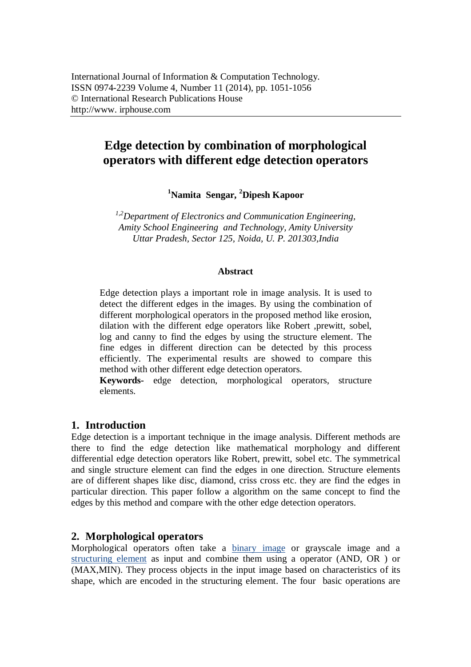# **Edge detection by combination of morphological operators with different edge detection operators**

**<sup>1</sup>Namita Sengar, <sup>2</sup>Dipesh Kapoor**

*1,2Department of Electronics and Communication Engineering, Amity School Engineering and Technology, Amity University Uttar Pradesh, Sector 125, Noida, U. P. 201303,India*

#### **Abstract**

Edge detection plays a important role in image analysis. It is used to detect the different edges in the images. By using the combination of different morphological operators in the proposed method like erosion, dilation with the different edge operators like Robert ,prewitt, sobel, log and canny to find the edges by using the structure element. The fine edges in different direction can be detected by this process efficiently. The experimental results are showed to compare this method with other different edge detection operators.

**Keywords-** edge detection, morphological operators, structure elements.

# **1. Introduction**

Edge detection is a important technique in the image analysis. Different methods are there to find the edge detection like mathematical morphology and different differential edge detection operators like Robert, prewitt, sobel etc. The symmetrical and single structure element can find the edges in one direction. Structure elements are of different shapes like disc, diamond, criss cross etc. they are find the edges in particular direction. This paper follow a algorithm on the same concept to find the edges by this method and compare with the other edge detection operators.

# **2. Morphological operators**

Morphological operators often take a binary image or grayscale image and a structuring element as input and combine them using a operator (AND, OR ) or (MAX,MIN). They process objects in the input image based on characteristics of its shape, which are encoded in the structuring element. The four basic operations are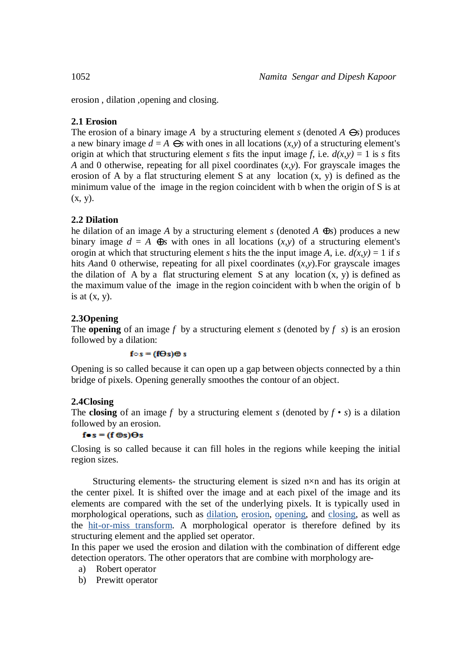erosion , dilation ,opening and closing.

# **2.1 Erosion**

The erosion of a binary image A by a structuring element  $s$  (denoted  $A \Theta s$ ) produces a new binary image  $d = A \Theta s$  with ones in all locations  $(x, y)$  of a structuring element's origin at which that structuring element *s* fits the input image *f*, i.e.  $d(x, y) = 1$  is *s* fits *A* and 0 otherwise, repeating for all pixel coordinates (*x,y*). For grayscale images the erosion of A by a flat structuring element S at any location (x, y) is defined as the minimum value of the image in the region coincident with b when the origin of S is at  $(x, y)$ .

# **2.2 Dilation**

he dilation of an image A by a structuring element *s* (denoted  $A \oplus s$ ) produces a new binary image  $d = A \oplus s$  with ones in all locations  $(x, y)$  of a structuring element's orogin at which that structuring element *s* hits the the input image *A*, i.e.  $d(x, y) = 1$  if *s* hits *A*and 0 otherwise, repeating for all pixel coordinates (*x,y*).For grayscale images the dilation of A by a flat structuring element S at any location  $(x, y)$  is defined as the maximum value of the image in the region coincident with b when the origin of b is at  $(x, y)$ .

# **2.3Opening**

The **opening** of an image *f* by a structuring element *s* (denoted by *f s*) is an erosion followed by a dilation:

#### $f \circ s = (f \Theta s) \oplus s$

Opening is so called because it can open up a gap between objects connected by a thin bridge of pixels. Opening generally smoothes the contour of an object.

#### **2.4Closing**

The **closing** of an image f by a structuring element *s* (denoted by  $f \cdot s$ ) is a dilation followed by an erosion.

### $f \bullet s = (f \oplus s) \Theta s$

Closing is so called because it can fill holes in the regions while keeping the initial region sizes.

Structuring elements- the structuring element is sized n×n and has its origin at the center pixel. It is shifted over the image and at each pixel of the image and its elements are compared with the set of the underlying pixels. It is typically used in morphological operations, such as dilation, erosion, opening, and closing, as well as the hit-or-miss transform. A morphological operator is therefore defined by its structuring element and the applied set operator.

In this paper we used the erosion and dilation with the combination of different edge detection operators. The other operators that are combine with morphology are-

- a) Robert operator
- b) Prewitt operator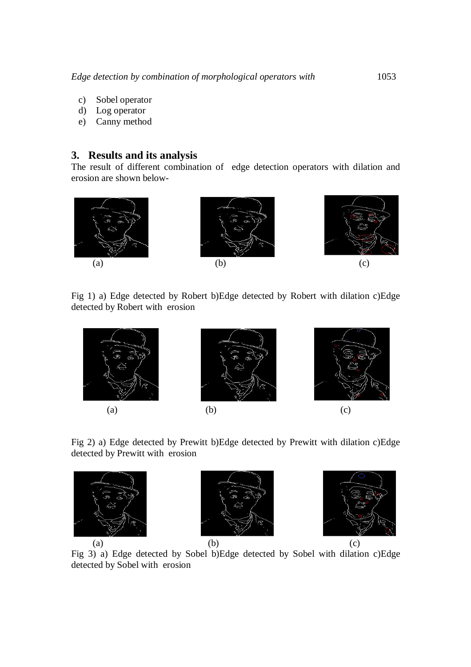- c) Sobel operator
- d) Log operator
- e) Canny method

# **3. Results and its analysis**

The result of different combination of edge detection operators with dilation and erosion are shown below-



Fig 1) a) Edge detected by Robert b)Edge detected by Robert with dilation c)Edge detected by Robert with erosion



Fig 2) a) Edge detected by Prewitt b)Edge detected by Prewitt with dilation c)Edge detected by Prewitt with erosion







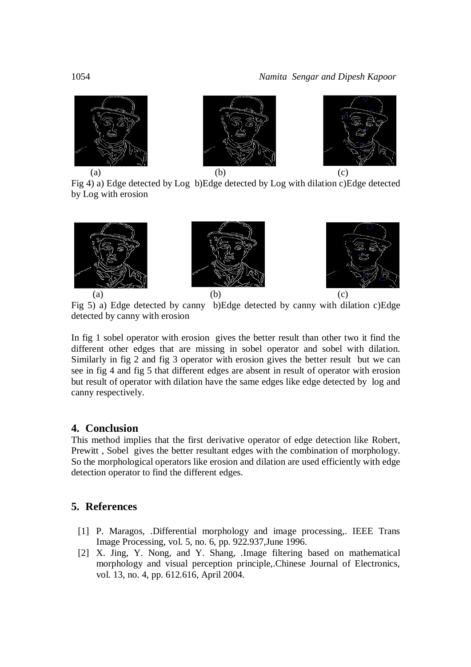

Fig 4) a) Edge detected by Log b)Edge detected by Log with dilation c)Edge detected by Log with erosion



Fig 5) a) Edge detected by canny b)Edge detected by canny with dilation c)Edge detected by canny with erosion

In fig 1 sobel operator with erosion gives the better result than other two it find the different other edges that are missing in sobel operator and sobel with dilation. Similarly in fig 2 and fig 3 operator with erosion gives the better result but we can see in fig 4 and fig 5 that different edges are absent in result of operator with erosion but result of operator with dilation have the same edges like edge detected by log and canny respectively.

# **4. Conclusion**

This method implies that the first derivative operator of edge detection like Robert, Prewitt , Sobel gives the better resultant edges with the combination of morphology. So the morphological operators like erosion and dilation are used efficiently with edge detection operator to find the different edges.

# **5. References**

- [1] P. Maragos, .Differential morphology and image processing,. IEEE Trans Image Processing, vol. 5, no. 6, pp. 922.937,June 1996.
- [2] X. Jing, Y. Nong, and Y. Shang, .Image filtering based on mathematical morphology and visual perception principle,.Chinese Journal of Electronics, vol. 13, no. 4, pp. 612.616, April 2004.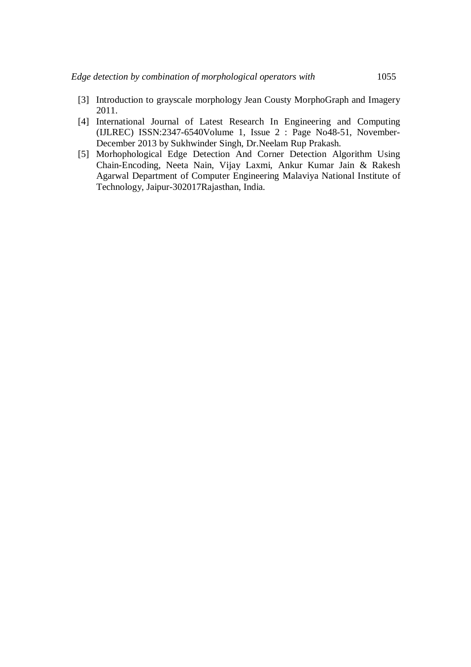- [3] Introduction to grayscale morphology Jean Cousty MorphoGraph and Imagery 2011.
- [4] International Journal of Latest Research In Engineering and Computing (IJLREC) ISSN:2347-6540Volume 1, Issue 2 : Page No48-51, November-December 2013 by Sukhwinder Singh, Dr.Neelam Rup Prakash.
- [5] Morhophological Edge Detection And Corner Detection Algorithm Using Chain-Encoding, Neeta Nain, Vijay Laxmi, Ankur Kumar Jain & Rakesh Agarwal Department of Computer Engineering Malaviya National Institute of Technology, Jaipur-302017Rajasthan, India.